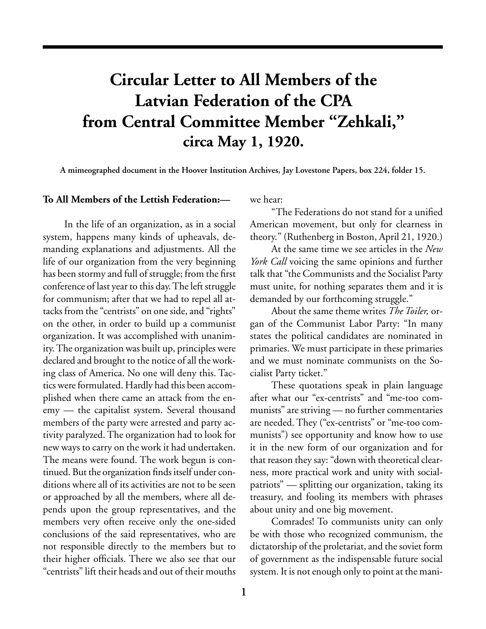## **Circular Letter to All Members of the Latvian Federation of the CPA from Central Committee Member "Zehkali," circa May 1, 1920.**

**A mimeographed document in the Hoover Institution Archives, Jay Lovestone Papers, box 224, folder 15.**

## **To All Members of the Lettish Federation:—**

In the life of an organization, as in a social system, happens many kinds of upheavals, demanding explanations and adjustments. All the life of our organization from the very beginning has been stormy and full of struggle; from the first conference of last year to this day. The left struggle for communism; after that we had to repel all attacks from the "centrists" on one side, and "rights" on the other, in order to build up a communist organization. It was accomplished with unanimity. The organization was built up, principles were declared and brought to the notice of all the working class of America. No one will deny this. Tactics were formulated. Hardly had this been accomplished when there came an attack from the enemy — the capitalist system. Several thousand members of the party were arrested and party activity paralyzed. The organization had to look for new ways to carry on the work it had undertaken. The means were found. The work begun is continued. But the organization finds itself under conditions where all of its activities are not to be seen or approached by all the members, where all depends upon the group representatives, and the members very often receive only the one-sided conclusions of the said representatives, who are not responsible directly to the members but to their higher officials. There we also see that our "centrists" lift their heads and out of their mouths

we hear:

"The Federations do not stand for a unified American movement, but only for clearness in theory." (Ruthenberg in Boston, April 21, 1920.)

At the same time we see articles in the *New York Call* voicing the same opinions and further talk that "the Communists and the Socialist Party must unite, for nothing separates them and it is demanded by our forthcoming struggle."

About the same theme writes *The Toiler,* organ of the Communist Labor Party: "In many states the political candidates are nominated in primaries. We must participate in these primaries and we must nominate communists on the Socialist Party ticket."

These quotations speak in plain language after what our "ex-centrists" and "me-too communists" are striving — no further commentaries are needed. They ("ex-centrists" or "me-too communists") see opportunity and know how to use it in the new form of our organization and for that reason they say: "down with theoretical clearness, more practical work and unity with socialpatriots" — splitting our organization, taking its treasury, and fooling its members with phrases about unity and one big movement.

Comrades! To communists unity can only be with those who recognized communism, the dictatorship of the proletariat, and the soviet form of government as the indispensable future social system. It is not enough only to point at the mani